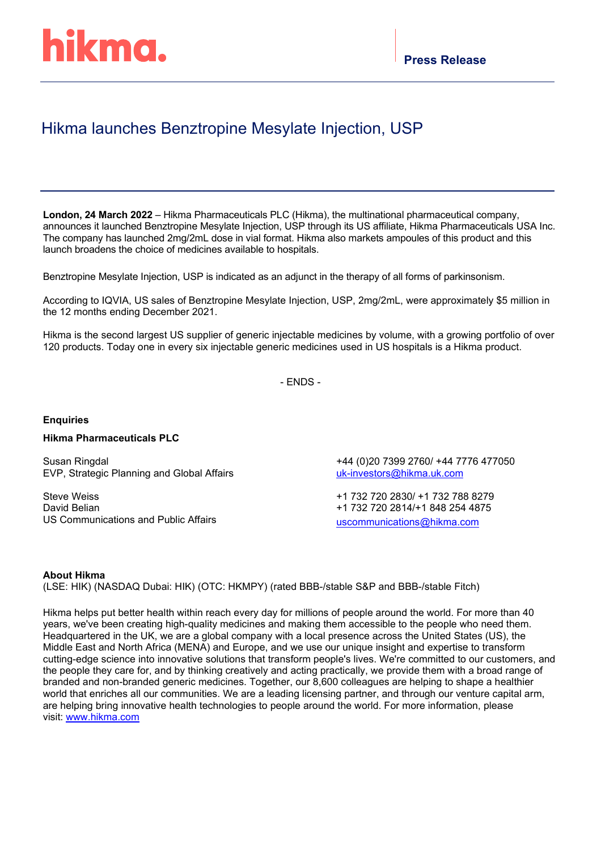# Hikma launches Benztropine Mesylate Injection, USP

**London, 24 March 2022** – Hikma Pharmaceuticals PLC (Hikma), the multinational pharmaceutical company, announces it launched Benztropine Mesylate Injection, USP through its US affiliate, Hikma Pharmaceuticals USA Inc. The company has launched 2mg/2mL dose in vial format. Hikma also markets ampoules of this product and this launch broadens the choice of medicines available to hospitals.

Benztropine Mesylate Injection, USP is indicated as an adjunct in the therapy of all forms of parkinsonism.

According to IQVIA, US sales of Benztropine Mesylate Injection, USP, 2mg/2mL, were approximately \$5 million in the 12 months ending December 2021.

Hikma is the second largest US supplier of generic injectable medicines by volume, with a growing portfolio of over 120 products. Today one in every six injectable generic medicines used in US hospitals is a Hikma product.

- ENDS -

# **Enquiries**

## **Hikma Pharmaceuticals PLC**

Susan Ringdal EVP, Strategic Planning and Global Affairs

Steve Weiss David Belian US Communications and Public Affairs +44 (0)20 7399 2760/ +44 7776 477050 [uk-investors@hikma.uk.com](mailto:uk-investors@hikma.uk.com)

+1 732 720 2830/ +1 732 788 8279 +1 732 720 2814/+1 848 254 4875 [uscommunications@hikma.com](mailto:sweiss@hikma.com)

# **About Hikma**

(LSE: HIK) (NASDAQ Dubai: HIK) (OTC: HKMPY) (rated BBB-/stable S&P and BBB-/stable Fitch)

Hikma helps put better health within reach every day for millions of people around the world. For more than 40 years, we've been creating high-quality medicines and making them accessible to the people who need them. Headquartered in the UK, we are a global company with a local presence across the United States (US), the Middle East and North Africa (MENA) and Europe, and we use our unique insight and expertise to transform cutting-edge science into innovative solutions that transform people's lives. We're committed to our customers, and the people they care for, and by thinking creatively and acting practically, we provide them with a broad range of branded and non-branded generic medicines. Together, our 8,600 colleagues are helping to shape a healthier world that enriches all our communities. We are a leading licensing partner, and through our venture capital arm, are helping bring innovative health technologies to people around the world. For more information, please visit: [www.hikma.com](https://nam04.safelinks.protection.outlook.com/?url=https%3A%2F%2Fc212.net%2Fc%2Flink%2F%3Ft%3D0%26l%3Den%26o%3D2531421-1%26h%3D3823969217%26u%3Dhttp%253A%252F%252Fwww.hikma.com%252F%26a%3Dwww.hikma.com&data=02%7C01%7Csweiss%40Hikma.com%7C4a35048c8c764c63c86308d70efbac9e%7C178c1a723d3c40afbaa754615303bcdc%7C0%7C1%7C636994346427346162&sdata=lHZaoOb0u30Y6re6yfLW1Ar4vvBS%2FnjEUNdB00TBaTI%3D&reserved=0)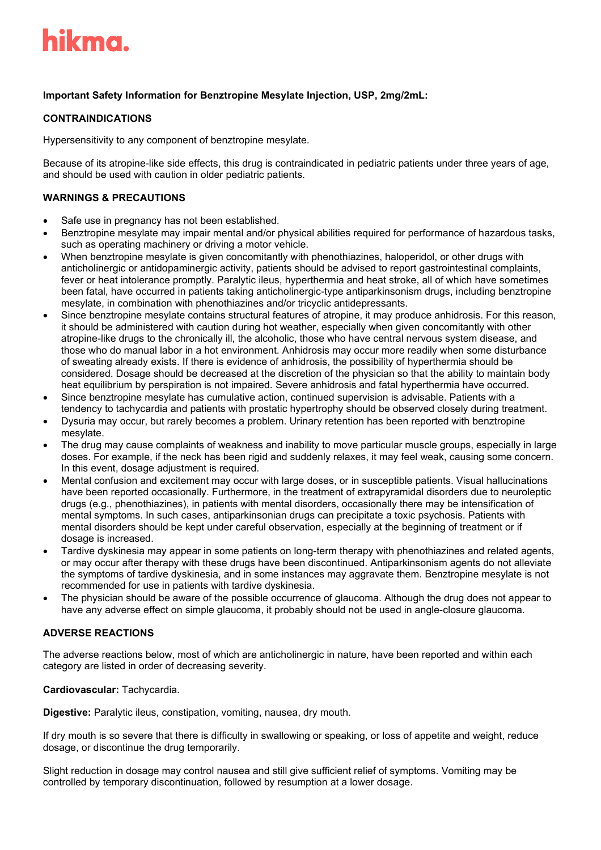

# **Important Safety Information for Benztropine Mesylate Injection, USP, 2mg/2mL:**

# **CONTRAINDICATIONS**

Hypersensitivity to any component of benztropine mesylate.

Because of its atropine-like side effects, this drug is contraindicated in pediatric patients under three years of age, and should be used with caution in older pediatric patients.

# **WARNINGS & PRECAUTIONS**

- Safe use in pregnancy has not been established.
- Benztropine mesylate may impair mental and/or physical abilities required for performance of hazardous tasks, such as operating machinery or driving a motor vehicle.
- When benztropine mesylate is given concomitantly with phenothiazines, haloperidol, or other drugs with anticholinergic or antidopaminergic activity, patients should be advised to report gastrointestinal complaints, fever or heat intolerance promptly. Paralytic ileus, hyperthermia and heat stroke, all of which have sometimes been fatal, have occurred in patients taking anticholinergic-type antiparkinsonism drugs, including benztropine mesylate, in combination with phenothiazines and/or tricyclic antidepressants.
- Since benztropine mesylate contains structural features of atropine, it may produce anhidrosis. For this reason, it should be administered with caution during hot weather, especially when given concomitantly with other atropine-like drugs to the chronically ill, the alcoholic, those who have central nervous system disease, and those who do manual labor in a hot environment. Anhidrosis may occur more readily when some disturbance of sweating already exists. If there is evidence of anhidrosis, the possibility of hyperthermia should be considered. Dosage should be decreased at the discretion of the physician so that the ability to maintain body heat equilibrium by perspiration is not impaired. Severe anhidrosis and fatal hyperthermia have occurred.
- Since benztropine mesylate has cumulative action, continued supervision is advisable. Patients with a tendency to tachycardia and patients with prostatic hypertrophy should be observed closely during treatment.
- Dysuria may occur, but rarely becomes a problem. Urinary retention has been reported with benztropine mesylate.
- The drug may cause complaints of weakness and inability to move particular muscle groups, especially in large doses. For example, if the neck has been rigid and suddenly relaxes, it may feel weak, causing some concern. In this event, dosage adjustment is required.
- Mental confusion and excitement may occur with large doses, or in susceptible patients. Visual hallucinations have been reported occasionally. Furthermore, in the treatment of extrapyramidal disorders due to neuroleptic drugs (e.g., phenothiazines), in patients with mental disorders, occasionally there may be intensification of mental symptoms. In such cases, antiparkinsonian drugs can precipitate a toxic psychosis. Patients with mental disorders should be kept under careful observation, especially at the beginning of treatment or if dosage is increased.
- Tardive dyskinesia may appear in some patients on long-term therapy with phenothiazines and related agents, or may occur after therapy with these drugs have been discontinued. Antiparkinsonism agents do not alleviate the symptoms of tardive dyskinesia, and in some instances may aggravate them. Benztropine mesylate is not recommended for use in patients with tardive dyskinesia.
- The physician should be aware of the possible occurrence of glaucoma. Although the drug does not appear to have any adverse effect on simple glaucoma, it probably should not be used in angle-closure glaucoma.

# **ADVERSE REACTIONS**

The adverse reactions below, most of which are anticholinergic in nature, have been reported and within each category are listed in order of decreasing severity.

**Cardiovascular:** Tachycardia.

**Digestive:** Paralytic ileus, constipation, vomiting, nausea, dry mouth.

If dry mouth is so severe that there is difficulty in swallowing or speaking, or loss of appetite and weight, reduce dosage, or discontinue the drug temporarily.

Slight reduction in dosage may control nausea and still give sufficient relief of symptoms. Vomiting may be controlled by temporary discontinuation, followed by resumption at a lower dosage.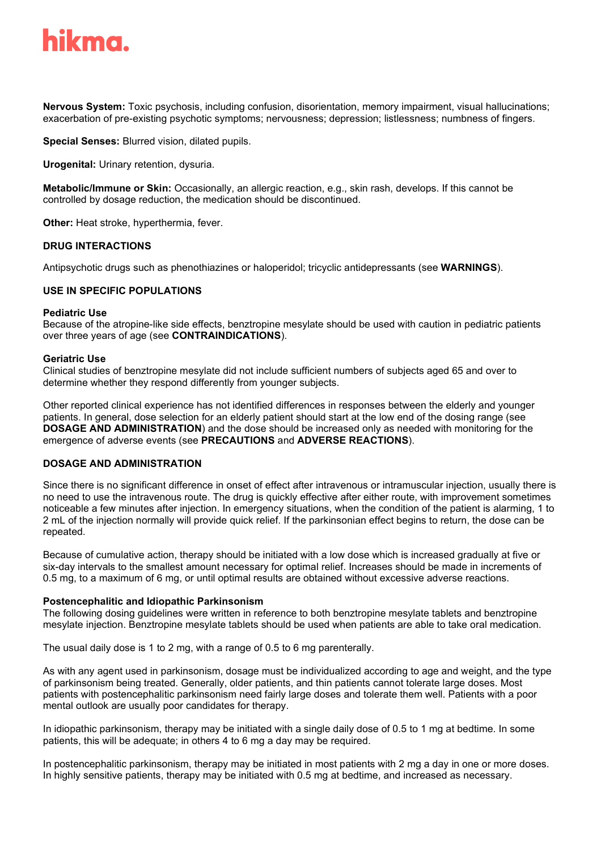

**Nervous System:** Toxic psychosis, including confusion, disorientation, memory impairment, visual hallucinations; exacerbation of pre-existing psychotic symptoms; nervousness; depression; listlessness; numbness of fingers.

**Special Senses:** Blurred vision, dilated pupils.

**Urogenital:** Urinary retention, dysuria.

**Metabolic/Immune or Skin:** Occasionally, an allergic reaction, e.g., skin rash, develops. If this cannot be controlled by dosage reduction, the medication should be discontinued.

**Other:** Heat stroke, hyperthermia, fever.

#### **DRUG INTERACTIONS**

Antipsychotic drugs such as phenothiazines or haloperidol; tricyclic antidepressants (see **WARNINGS**).

#### **USE IN SPECIFIC POPULATIONS**

#### **Pediatric Use**

Because of the atropine-like side effects, benztropine mesylate should be used with caution in pediatric patients over three years of age (see **CONTRAINDICATIONS**).

#### **Geriatric Use**

Clinical studies of benztropine mesylate did not include sufficient numbers of subjects aged 65 and over to determine whether they respond differently from younger subjects.

Other reported clinical experience has not identified differences in responses between the elderly and younger patients. In general, dose selection for an elderly patient should start at the low end of the dosing range (see **DOSAGE AND ADMINISTRATION**) and the dose should be increased only as needed with monitoring for the emergence of adverse events (see **PRECAUTIONS** and **ADVERSE REACTIONS**).

# **DOSAGE AND ADMINISTRATION**

Since there is no significant difference in onset of effect after intravenous or intramuscular injection, usually there is no need to use the intravenous route. The drug is quickly effective after either route, with improvement sometimes noticeable a few minutes after injection. In emergency situations, when the condition of the patient is alarming, 1 to 2 mL of the injection normally will provide quick relief. If the parkinsonian effect begins to return, the dose can be repeated.

Because of cumulative action, therapy should be initiated with a low dose which is increased gradually at five or six-day intervals to the smallest amount necessary for optimal relief. Increases should be made in increments of 0.5 mg, to a maximum of 6 mg, or until optimal results are obtained without excessive adverse reactions.

#### **Postencephalitic and Idiopathic Parkinsonism**

The following dosing guidelines were written in reference to both benztropine mesylate tablets and benztropine mesylate injection. Benztropine mesylate tablets should be used when patients are able to take oral medication.

The usual daily dose is 1 to 2 mg, with a range of 0.5 to 6 mg parenterally.

As with any agent used in parkinsonism, dosage must be individualized according to age and weight, and the type of parkinsonism being treated. Generally, older patients, and thin patients cannot tolerate large doses. Most patients with postencephalitic parkinsonism need fairly large doses and tolerate them well. Patients with a poor mental outlook are usually poor candidates for therapy.

In idiopathic parkinsonism, therapy may be initiated with a single daily dose of 0.5 to 1 mg at bedtime. In some patients, this will be adequate; in others 4 to 6 mg a day may be required.

In postencephalitic parkinsonism, therapy may be initiated in most patients with 2 mg a day in one or more doses. In highly sensitive patients, therapy may be initiated with 0.5 mg at bedtime, and increased as necessary.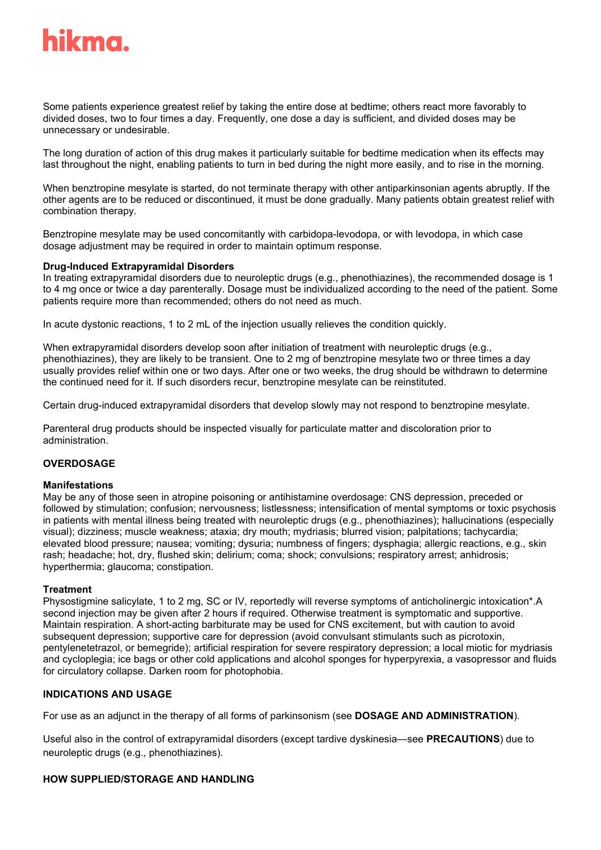

Some patients experience greatest relief by taking the entire dose at bedtime; others react more favorably to divided doses, two to four times a day. Frequently, one dose a day is sufficient, and divided doses may be unnecessary or undesirable.

The long duration of action of this drug makes it particularly suitable for bedtime medication when its effects may last throughout the night, enabling patients to turn in bed during the night more easily, and to rise in the morning.

When benztropine mesylate is started, do not terminate therapy with other antiparkinsonian agents abruptly. If the other agents are to be reduced or discontinued, it must be done gradually. Many patients obtain greatest relief with combination therapy.

Benztropine mesylate may be used concomitantly with carbidopa-levodopa, or with levodopa, in which case dosage adjustment may be required in order to maintain optimum response.

## **Drug-Induced Extrapyramidal Disorders**

In treating extrapyramidal disorders due to neuroleptic drugs (e.g., phenothiazines), the recommended dosage is 1 to 4 mg once or twice a day parenterally. Dosage must be individualized according to the need of the patient. Some patients require more than recommended; others do not need as much.

In acute dystonic reactions, 1 to 2 mL of the injection usually relieves the condition quickly.

When extrapyramidal disorders develop soon after initiation of treatment with neuroleptic drugs (e.g., phenothiazines), they are likely to be transient. One to 2 mg of benztropine mesylate two or three times a day usually provides relief within one or two days. After one or two weeks, the drug should be withdrawn to determine the continued need for it. If such disorders recur, benztropine mesylate can be reinstituted.

Certain drug-induced extrapyramidal disorders that develop slowly may not respond to benztropine mesylate.

Parenteral drug products should be inspected visually for particulate matter and discoloration prior to administration.

## **OVERDOSAGE**

## **Manifestations**

May be any of those seen in atropine poisoning or antihistamine overdosage: CNS depression, preceded or followed by stimulation; confusion; nervousness; listlessness; intensification of mental symptoms or toxic psychosis in patients with mental illness being treated with neuroleptic drugs (e.g., phenothiazines); hallucinations (especially visual); dizziness; muscle weakness; ataxia; dry mouth; mydriasis; blurred vision; palpitations; tachycardia; elevated blood pressure; nausea; vomiting; dysuria; numbness of fingers; dysphagia; allergic reactions, e.g., skin rash; headache; hot, dry, flushed skin; delirium; coma; shock; convulsions; respiratory arrest; anhidrosis; hyperthermia; glaucoma; constipation.

## **Treatment**

Physostigmine salicylate, 1 to 2 mg, SC or IV, reportedly will reverse symptoms of anticholinergic intoxication\*.A second injection may be given after 2 hours if required. Otherwise treatment is symptomatic and supportive. Maintain respiration. A short-acting barbiturate may be used for CNS excitement, but with caution to avoid subsequent depression; supportive care for depression (avoid convulsant stimulants such as picrotoxin, pentylenetetrazol, or bemegride); artificial respiration for severe respiratory depression; a local miotic for mydriasis and cycloplegia; ice bags or other cold applications and alcohol sponges for hyperpyrexia, a vasopressor and fluids for circulatory collapse. Darken room for photophobia.

## **INDICATIONS AND USAGE**

For use as an adjunct in the therapy of all forms of parkinsonism (see **DOSAGE AND ADMINISTRATION**).

Useful also in the control of extrapyramidal disorders (except tardive dyskinesia—see **PRECAUTIONS**) due to neuroleptic drugs (e.g., phenothiazines).

## **HOW SUPPLIED/STORAGE AND HANDLING**